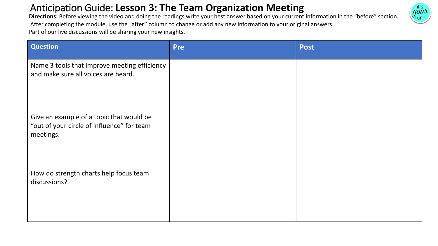### Anticipation Guide: **Lesson 3: The Team Organization Meeting**



Directions: Before viewing the video and doing the readings write your best answer based on your current information in the "before" section. After completing the module, use the "after" column to change or add any new information to your original answers. Part of our live discussions will be sharing your new insights.

| <b>Question</b>                                                                                     | <b>Pre</b> | <b>Post</b> |
|-----------------------------------------------------------------------------------------------------|------------|-------------|
| Name 3 tools that improve meeting efficiency<br>and make sure all voices are heard.                 |            |             |
| Give an example of a topic that would be<br>"out of your circle of influence" for team<br>meetings. |            |             |
| How do strength charts help focus team<br>discussions?                                              |            |             |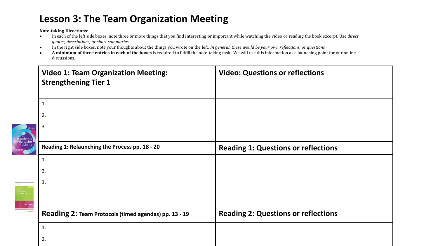#### **Lesson 3: The Team Organization Meeting**

**Note-taking Directions**:

- In each of the left side boxes, note three or more things that you find interesting or important while watching the video or reading the book excerpt. Use *direct quotes, descriptions, or short summaries.*
- In the right side boxes, note your thoughts about the things you wrote on the left. *In general, these would be your own reflections, or questions.*
- **A minimum of three entries in each of the boxes** is required to fulfill the note-taking task. We will use this information as a launching point for our online discussions.

|                                  | <b>Video 1: Team Organization Meeting:</b><br><b>Strengthening Tier 1</b> | <b>Video: Questions or reflections</b>     |  |  |
|----------------------------------|---------------------------------------------------------------------------|--------------------------------------------|--|--|
|                                  | 1.                                                                        |                                            |  |  |
|                                  | 2.                                                                        |                                            |  |  |
| Academic<br>Behavior<br>Problems | 3.                                                                        |                                            |  |  |
|                                  | Reading 1: Relaunching the Process pp. 18 - 20                            | <b>Reading 1: Questions or reflections</b> |  |  |
|                                  | 1.                                                                        |                                            |  |  |
|                                  | 2.                                                                        |                                            |  |  |
| TEACHER<br>TEAMWORI              | 3.                                                                        |                                            |  |  |
|                                  | Reading 2: Team Protocols (timed agendas) pp. 13 - 19                     | <b>Reading 2: Questions or reflections</b> |  |  |
|                                  | 1.                                                                        |                                            |  |  |
|                                  | 2.                                                                        |                                            |  |  |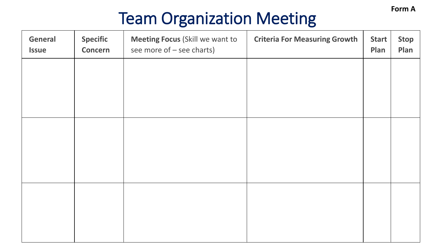**Form A**

# Team Organization Meeting

| General<br><b>Issue</b> | <b>Specific</b><br><b>Concern</b> | <b>Meeting Focus (Skill we want to</b><br>see more of - see charts) | <b>Criteria For Measuring Growth</b> | <b>Start</b><br>Plan | <b>Stop</b><br>Plan |
|-------------------------|-----------------------------------|---------------------------------------------------------------------|--------------------------------------|----------------------|---------------------|
|                         |                                   |                                                                     |                                      |                      |                     |
|                         |                                   |                                                                     |                                      |                      |                     |
|                         |                                   |                                                                     |                                      |                      |                     |
|                         |                                   |                                                                     |                                      |                      |                     |
|                         |                                   |                                                                     |                                      |                      |                     |
|                         |                                   |                                                                     |                                      |                      |                     |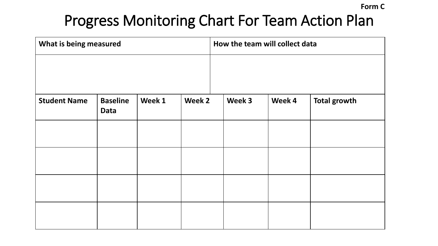**Form C**

## Progress Monitoring Chart For Team Action Plan

| What is being measured |                         |        | How the team will collect data |        |        |                     |
|------------------------|-------------------------|--------|--------------------------------|--------|--------|---------------------|
| <b>Student Name</b>    | <b>Baseline</b><br>Data | Week 1 | Week 2                         | Week 3 | Week 4 | <b>Total growth</b> |
|                        |                         |        |                                |        |        |                     |
|                        |                         |        |                                |        |        |                     |
|                        |                         |        |                                |        |        |                     |
|                        |                         |        |                                |        |        |                     |